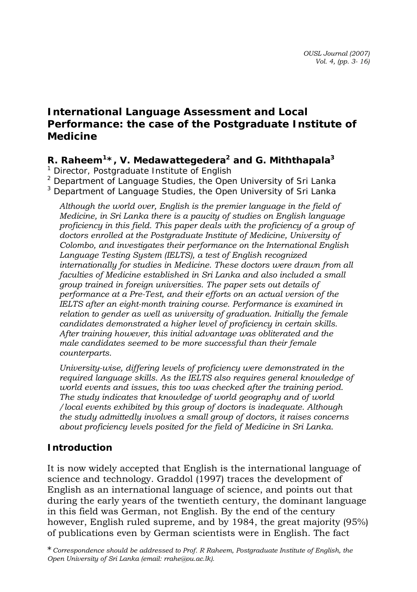# **International Language Assessment and Local Performance: the case of the Postgraduate Institute of Medicine**

### *R. Raheem1\*, V. Medawattegedera2 and G. Miththapala3*

*1 Director, Postgraduate Institute of English* 

*2 Department of Language Studies, the Open University of Sri Lanka* 

*3 Department of Language Studies, the Open University of Sri Lanka*

*Although the world over, English is the premier language in the field of Medicine, in Sri Lanka there is a paucity of studies on English language proficiency in this field. This paper deals with the proficiency of a group of doctors enrolled at the Postgraduate Institute of Medicine, University of Colombo, and investigates their performance on the International English Language Testing System (IELTS), a test of English recognized internationally for studies in Medicine. These doctors were drawn from all faculties of Medicine established in Sri Lanka and also included a small group trained in foreign universities. The paper sets out details of performance at a Pre-Test, and their efforts on an actual version of the IELTS after an eight-month training course. Performance is examined in relation to gender as well as university of graduation. Initially the female candidates demonstrated a higher level of proficiency in certain skills. After training however, this initial advantage was obliterated and the male candidates seemed to be more successful than their female counterparts.* 

*University-wise, differing levels of proficiency were demonstrated in the required language skills. As the IELTS also requires general knowledge of world events and issues, this too was checked after the training period. The study indicates that knowledge of world geography and of world /local events exhibited by this group of doctors is inadequate. Although the study admittedly involves a small group of doctors, it raises concerns about proficiency levels posited for the field of Medicine in Sri Lanka.* 

### **Introduction**

It is now widely accepted that English is the international language of science and technology. Graddol (1997) traces the development of English as an international language of science, and points out that during the early years of the twentieth century, the dominant language in this field was German, not English. By the end of the century however, English ruled supreme, and by 1984, the great majority (95%) of publications even by German scientists were in English. The fact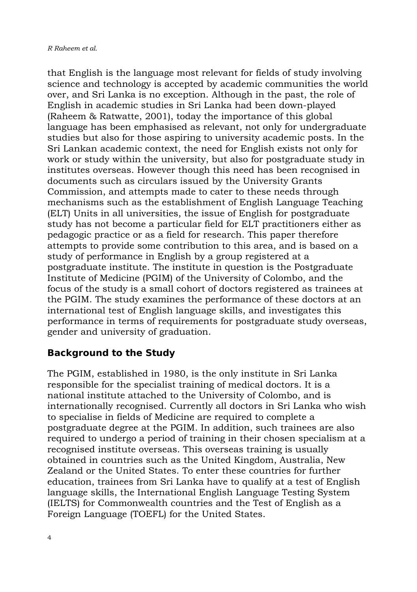that English is the language most relevant for fields of study involving science and technology is accepted by academic communities the world over, and Sri Lanka is no exception. Although in the past, the role of English in academic studies in Sri Lanka had been down-played (Raheem & Ratwatte, 2001), today the importance of this global language has been emphasised as relevant, not only for undergraduate studies but also for those aspiring to university academic posts. In the Sri Lankan academic context, the need for English exists not only for work or study within the university, but also for postgraduate study in institutes overseas. However though this need has been recognised in documents such as circulars issued by the University Grants Commission, and attempts made to cater to these needs through mechanisms such as the establishment of English Language Teaching (ELT) Units in all universities, the issue of English for postgraduate study has not become a particular field for ELT practitioners either as pedagogic practice or as a field for research. This paper therefore attempts to provide some contribution to this area, and is based on a study of performance in English by a group registered at a postgraduate institute. The institute in question is the Postgraduate Institute of Medicine (PGIM) of the University of Colombo, and the focus of the study is a small cohort of doctors registered as trainees at the PGIM. The study examines the performance of these doctors at an international test of English language skills, and investigates this performance in terms of requirements for postgraduate study overseas, gender and university of graduation.

#### **Background to the Study**

The PGIM, established in 1980, is the only institute in Sri Lanka responsible for the specialist training of medical doctors. It is a national institute attached to the University of Colombo, and is internationally recognised. Currently all doctors in Sri Lanka who wish to specialise in fields of Medicine are required to complete a postgraduate degree at the PGIM. In addition, such trainees are also required to undergo a period of training in their chosen specialism at a recognised institute overseas. This overseas training is usually obtained in countries such as the United Kingdom, Australia, New Zealand or the United States. To enter these countries for further education, trainees from Sri Lanka have to qualify at a test of English language skills, the International English Language Testing System (IELTS) for Commonwealth countries and the Test of English as a Foreign Language (TOEFL) for the United States.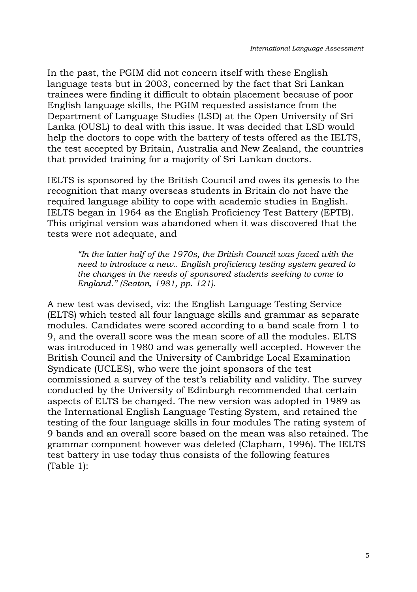In the past, the PGIM did not concern itself with these English language tests but in 2003, concerned by the fact that Sri Lankan trainees were finding it difficult to obtain placement because of poor English language skills, the PGIM requested assistance from the Department of Language Studies (LSD) at the Open University of Sri Lanka (OUSL) to deal with this issue. It was decided that LSD would help the doctors to cope with the battery of tests offered as the IELTS, the test accepted by Britain, Australia and New Zealand, the countries that provided training for a majority of Sri Lankan doctors.

IELTS is sponsored by the British Council and owes its genesis to the recognition that many overseas students in Britain do not have the required language ability to cope with academic studies in English. IELTS began in 1964 as the English Proficiency Test Battery (EPTB). This original version was abandoned when it was discovered that the tests were not adequate, and

*"In the latter half of the 1970s, the British Council was faced with the need to introduce a new.. English proficiency testing system geared to the changes in the needs of sponsored students seeking to come to England." (Seaton, 1981, pp. 121).* 

A new test was devised, viz: the English Language Testing Service (ELTS) which tested all four language skills and grammar as separate modules. Candidates were scored according to a band scale from 1 to 9, and the overall score was the mean score of all the modules. ELTS was introduced in 1980 and was generally well accepted. However the British Council and the University of Cambridge Local Examination Syndicate (UCLES), who were the joint sponsors of the test commissioned a survey of the test's reliability and validity. The survey conducted by the University of Edinburgh recommended that certain aspects of ELTS be changed. The new version was adopted in 1989 as the International English Language Testing System, and retained the testing of the four language skills in four modules The rating system of 9 bands and an overall score based on the mean was also retained. The grammar component however was deleted (Clapham, 1996). The IELTS test battery in use today thus consists of the following features (Table 1):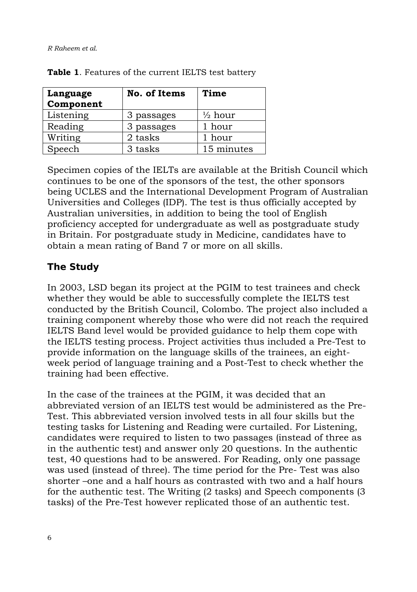*R Raheem et al.* 

| Language<br>Component | No. of Items | Time               |
|-----------------------|--------------|--------------------|
| Listening             | 3 passages   | $\frac{1}{2}$ hour |
| Reading               | 3 passages   | 1 hour             |
| Writing               | 2 tasks      | 1 hour             |
| Speech                | 3 tasks      | 15 minutes         |

**Table 1**. Features of the current IELTS test battery

Specimen copies of the IELTs are available at the British Council which continues to be one of the sponsors of the test, the other sponsors being UCLES and the International Development Program of Australian Universities and Colleges (IDP). The test is thus officially accepted by Australian universities, in addition to being the tool of English proficiency accepted for undergraduate as well as postgraduate study in Britain. For postgraduate study in Medicine, candidates have to obtain a mean rating of Band 7 or more on all skills.

#### **The Study**

In 2003, LSD began its project at the PGIM to test trainees and check whether they would be able to successfully complete the IELTS test conducted by the British Council, Colombo. The project also included a training component whereby those who were did not reach the required IELTS Band level would be provided guidance to help them cope with the IELTS testing process. Project activities thus included a Pre-Test to provide information on the language skills of the trainees, an eightweek period of language training and a Post-Test to check whether the training had been effective.

In the case of the trainees at the PGIM, it was decided that an abbreviated version of an IELTS test would be administered as the Pre-Test. This abbreviated version involved tests in all four skills but the testing tasks for Listening and Reading were curtailed. For Listening, candidates were required to listen to two passages (instead of three as in the authentic test) and answer only 20 questions. In the authentic test, 40 questions had to be answered. For Reading, only one passage was used (instead of three). The time period for the Pre- Test was also shorter –one and a half hours as contrasted with two and a half hours for the authentic test. The Writing (2 tasks) and Speech components (3 tasks) of the Pre-Test however replicated those of an authentic test.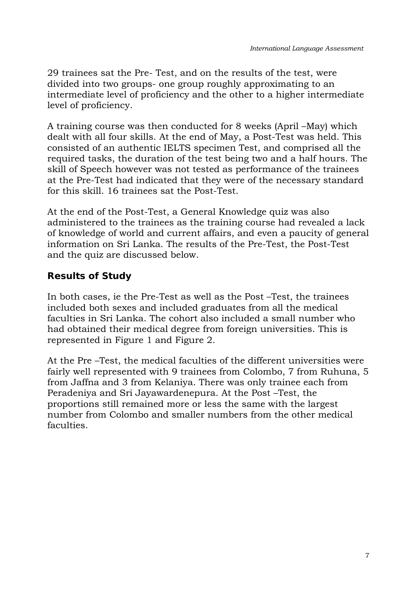29 trainees sat the Pre- Test, and on the results of the test, were divided into two groups- one group roughly approximating to an intermediate level of proficiency and the other to a higher intermediate level of proficiency.

A training course was then conducted for 8 weeks (April –May) which dealt with all four skills. At the end of May, a Post-Test was held. This consisted of an authentic IELTS specimen Test, and comprised all the required tasks, the duration of the test being two and a half hours. The skill of Speech however was not tested as performance of the trainees at the Pre-Test had indicated that they were of the necessary standard for this skill. 16 trainees sat the Post-Test.

At the end of the Post-Test, a General Knowledge quiz was also administered to the trainees as the training course had revealed a lack of knowledge of world and current affairs, and even a paucity of general information on Sri Lanka. The results of the Pre-Test, the Post-Test and the quiz are discussed below.

# **Results of Study**

In both cases, ie the Pre-Test as well as the Post –Test, the trainees included both sexes and included graduates from all the medical faculties in Sri Lanka. The cohort also included a small number who had obtained their medical degree from foreign universities. This is represented in Figure 1 and Figure 2.

At the Pre –Test, the medical faculties of the different universities were fairly well represented with 9 trainees from Colombo, 7 from Ruhuna, 5 from Jaffna and 3 from Kelaniya. There was only trainee each from Peradeniya and Sri Jayawardenepura. At the Post –Test, the proportions still remained more or less the same with the largest number from Colombo and smaller numbers from the other medical faculties.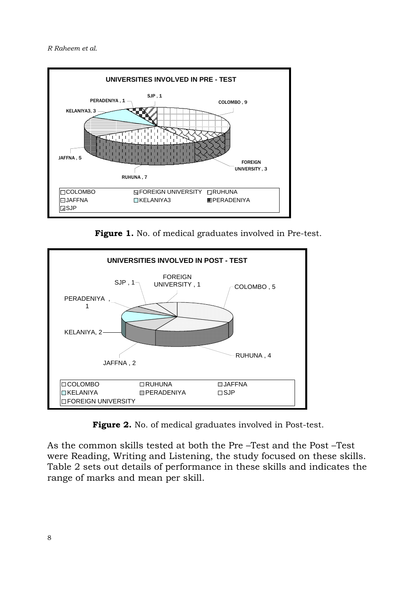*R Raheem et al.* 



**Figure 1.** No. of medical graduates involved in Pre-test.



**Figure 2.** No. of medical graduates involved in Post-test.

As the common skills tested at both the Pre –Test and the Post –Test were Reading, Writing and Listening, the study focused on these skills. Table 2 sets out details of performance in these skills and indicates the range of marks and mean per skill.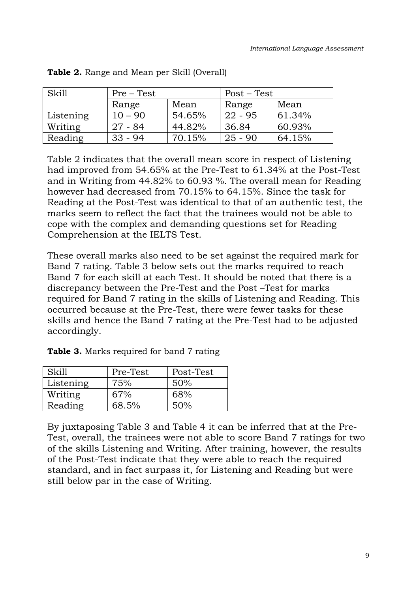| Skill     | Pre – Test |        | Post – Test |        |  |
|-----------|------------|--------|-------------|--------|--|
|           | Range      | Mean   | Range       | Mean   |  |
| Listening | 10 – 90    | 54.65% | $22 - 95$   | 61.34% |  |
| Writing   | $27 - 84$  | 44.82% | 36.84       | 60.93% |  |
| Reading   | $33 - 94$  | 70.15% | $25 - 90$   | 64.15% |  |

| Table 2. Range and Mean per Skill (Overall) |  |  |  |  |
|---------------------------------------------|--|--|--|--|
|                                             |  |  |  |  |

Table 2 indicates that the overall mean score in respect of Listening had improved from 54.65% at the Pre-Test to 61.34% at the Post-Test and in Writing from 44.82% to 60.93 %. The overall mean for Reading however had decreased from 70.15% to 64.15%. Since the task for Reading at the Post-Test was identical to that of an authentic test, the marks seem to reflect the fact that the trainees would not be able to cope with the complex and demanding questions set for Reading Comprehension at the IELTS Test.

These overall marks also need to be set against the required mark for Band 7 rating. Table 3 below sets out the marks required to reach Band 7 for each skill at each Test. It should be noted that there is a discrepancy between the Pre-Test and the Post –Test for marks required for Band 7 rating in the skills of Listening and Reading. This occurred because at the Pre-Test, there were fewer tasks for these skills and hence the Band 7 rating at the Pre-Test had to be adjusted accordingly.

| Skill     | Pre-Test | Post-Test |
|-----------|----------|-----------|
| Listening | 75%      | 50%       |
| Writing   | 67%      | 68%       |
| Reading   | 68.5%    | 50%       |

**Table 3.** Marks required for band 7 rating

By juxtaposing Table 3 and Table 4 it can be inferred that at the Pre-Test, overall, the trainees were not able to score Band 7 ratings for two of the skills Listening and Writing. After training, however, the results of the Post-Test indicate that they were able to reach the required standard, and in fact surpass it, for Listening and Reading but were still below par in the case of Writing.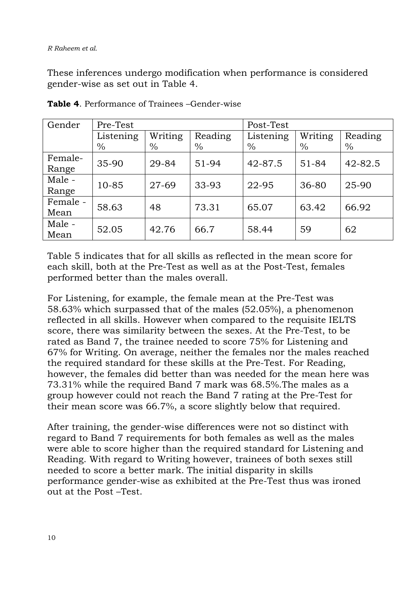These inferences undergo modification when performance is considered gender-wise as set out in Table 4.

| Gender   | Pre-Test  |         |         | Post-Test |         |         |
|----------|-----------|---------|---------|-----------|---------|---------|
|          | Listening | Writing | Reading | Listening | Writing | Reading |
|          | $\%$      | $\%$    | $\%$    | $\%$      | $\%$    | $\%$    |
| Female-  | 35-90     | 29-84   | 51-94   | 42-87.5   | 51-84   | 42-82.5 |
| Range    |           |         |         |           |         |         |
| Male -   |           |         |         |           |         |         |
| Range    | 10-85     | 27-69   | 33-93   | 22-95     | 36-80   | 25-90   |
| Female - | 58.63     | 48      | 73.31   | 65.07     | 63.42   | 66.92   |
| Mean     |           |         |         |           |         |         |
| Male -   |           |         | 66.7    |           |         | 62      |
| Mean     | 52.05     | 42.76   |         | 58.44     | 59      |         |

**Table 4**. Performance of Trainees –Gender-wise

Table 5 indicates that for all skills as reflected in the mean score for each skill, both at the Pre-Test as well as at the Post-Test, females performed better than the males overall.

For Listening, for example, the female mean at the Pre-Test was 58.63% which surpassed that of the males (52.05%), a phenomenon reflected in all skills. However when compared to the requisite IELTS score, there was similarity between the sexes. At the Pre-Test, to be rated as Band 7, the trainee needed to score 75% for Listening and 67% for Writing. On average, neither the females nor the males reached the required standard for these skills at the Pre-Test. For Reading, however, the females did better than was needed for the mean here was 73.31% while the required Band 7 mark was 68.5%.The males as a group however could not reach the Band 7 rating at the Pre-Test for their mean score was 66.7%, a score slightly below that required.

After training, the gender-wise differences were not so distinct with regard to Band 7 requirements for both females as well as the males were able to score higher than the required standard for Listening and Reading. With regard to Writing however, trainees of both sexes still needed to score a better mark. The initial disparity in skills performance gender-wise as exhibited at the Pre-Test thus was ironed out at the Post –Test.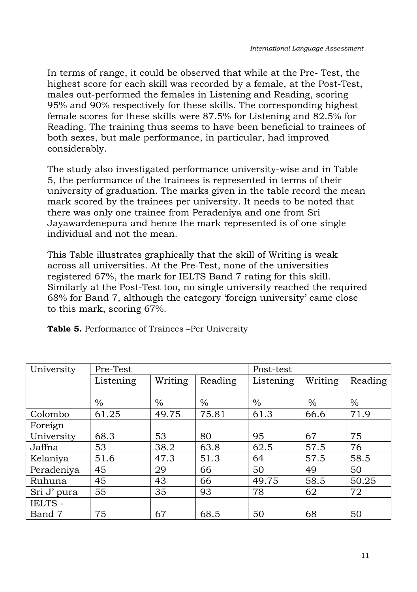In terms of range, it could be observed that while at the Pre- Test, the highest score for each skill was recorded by a female, at the Post-Test, males out-performed the females in Listening and Reading, scoring 95% and 90% respectively for these skills. The corresponding highest female scores for these skills were 87.5% for Listening and 82.5% for Reading. The training thus seems to have been beneficial to trainees of both sexes, but male performance, in particular, had improved considerably.

The study also investigated performance university-wise and in Table 5, the performance of the trainees is represented in terms of their university of graduation. The marks given in the table record the mean mark scored by the trainees per university. It needs to be noted that there was only one trainee from Peradeniya and one from Sri Jayawardenepura and hence the mark represented is of one single individual and not the mean.

This Table illustrates graphically that the skill of Writing is weak across all universities. At the Pre-Test, none of the universities registered 67%, the mark for IELTS Band 7 rating for this skill. Similarly at the Post-Test too, no single university reached the required 68% for Band 7, although the category 'foreign university' came close to this mark, scoring 67%.

|  | Table 5. Performance of Trainees -Per University |  |  |
|--|--------------------------------------------------|--|--|
|  |                                                  |  |  |

| University  | Pre-Test  |               |         | Post-test |               |         |
|-------------|-----------|---------------|---------|-----------|---------------|---------|
|             | Listening | Writing       | Reading | Listening | Writing       | Reading |
|             |           |               |         |           |               |         |
|             | $\%$      | $\frac{0}{0}$ | $\%$    | $\%$      | $\frac{0}{0}$ | $\%$    |
| Colombo     | 61.25     | 49.75         | 75.81   | 61.3      | 66.6          | 71.9    |
| Foreign     |           |               |         |           |               |         |
| University  | 68.3      | 53            | 80      | 95        | 67            | 75      |
| Jaffna      | 53        | 38.2          | 63.8    | 62.5      | 57.5          | 76      |
| Kelaniya    | 51.6      | 47.3          | 51.3    | 64        | 57.5          | 58.5    |
| Peradeniya  | 45        | 29            | 66      | 50        | 49            | 50      |
| Ruhuna      | 45        | 43            | 66      | 49.75     | 58.5          | 50.25   |
| Sri J' pura | 55        | 35            | 93      | 78        | 62            | 72      |
| IELTS -     |           |               |         |           |               |         |
| Band 7      | 75        | 67            | 68.5    | 50        | 68            | 50      |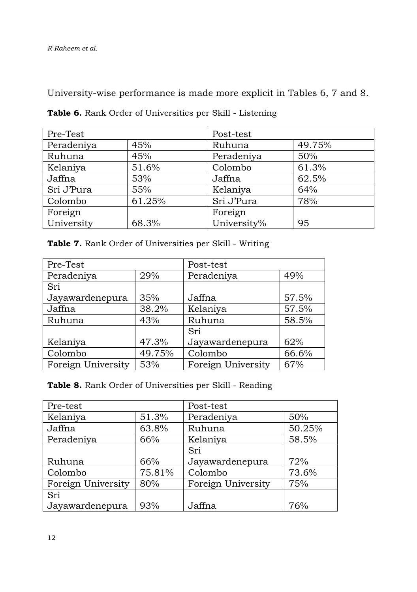University-wise performance is made more explicit in Tables 6, 7 and 8.

| Pre-Test   |        | Post-test   |        |
|------------|--------|-------------|--------|
| Peradeniya | 45%    | Ruhuna      | 49.75% |
| Ruhuna     | 45%    | Peradeniya  | 50%    |
| Kelaniya   | 51.6%  | Colombo     | 61.3%  |
| Jaffna     | 53%    | Jaffna      | 62.5%  |
| Sri J'Pura | 55%    | Kelaniya    | 64%    |
| Colombo    | 61.25% | Sri J'Pura  | 78%    |
| Foreign    |        | Foreign     |        |
| University | 68.3%  | University% | 95     |

**Table 6.** Rank Order of Universities per Skill - Listening

| Table 7. Rank Order of Universities per Skill - Writing |
|---------------------------------------------------------|
|---------------------------------------------------------|

| Pre-Test           |        | Post-test          |       |
|--------------------|--------|--------------------|-------|
| Peradeniya         | 29%    | Peradeniya         | 49%   |
| Sri                |        |                    |       |
| Jayawardenepura    | 35%    | Jaffna             | 57.5% |
| Jaffna             | 38.2%  | Kelaniya           | 57.5% |
| Ruhuna             | 43%    | Ruhuna             | 58.5% |
|                    |        | Sri                |       |
| Kelaniya           | 47.3%  | Jayawardenepura    | 62%   |
| Colombo            | 49.75% | Colombo            | 66.6% |
| Foreign University | 53%    | Foreign University | 67%   |

**Table 8.** Rank Order of Universities per Skill - Reading

| Pre-test           |        | Post-test          |        |
|--------------------|--------|--------------------|--------|
| Kelaniya           | 51.3%  | Peradeniya         | 50%    |
| Jaffna             | 63.8%  | Ruhuna             | 50.25% |
| Peradeniya         | 66%    | Kelaniya           | 58.5%  |
|                    |        | Sri                |        |
| Ruhuna             | 66%    | Jayawardenepura    | 72%    |
| Colombo            | 75.81% | Colombo            | 73.6%  |
| Foreign University | 80%    | Foreign University | 75%    |
| Sri                |        |                    |        |
| Jayawardenepura    | 93%    | Jaffna             | 76%    |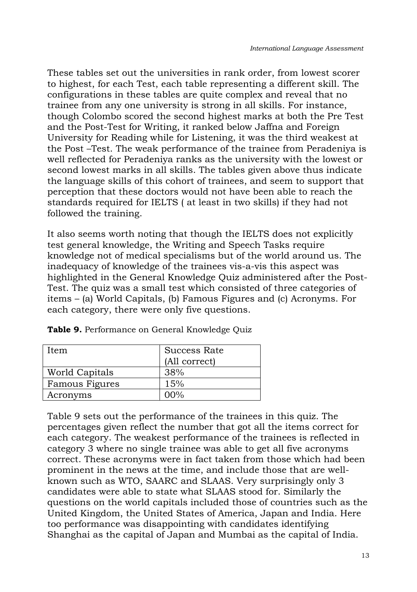These tables set out the universities in rank order, from lowest scorer to highest, for each Test, each table representing a different skill. The configurations in these tables are quite complex and reveal that no trainee from any one university is strong in all skills. For instance, though Colombo scored the second highest marks at both the Pre Test and the Post-Test for Writing, it ranked below Jaffna and Foreign University for Reading while for Listening, it was the third weakest at the Post –Test. The weak performance of the trainee from Peradeniya is well reflected for Peradeniya ranks as the university with the lowest or second lowest marks in all skills. The tables given above thus indicate the language skills of this cohort of trainees, and seem to support that perception that these doctors would not have been able to reach the standards required for IELTS ( at least in two skills) if they had not followed the training.

It also seems worth noting that though the IELTS does not explicitly test general knowledge, the Writing and Speech Tasks require knowledge not of medical specialisms but of the world around us. The inadequacy of knowledge of the trainees vis-a-vis this aspect was highlighted in the General Knowledge Quiz administered after the Post-Test. The quiz was a small test which consisted of three categories of items – (a) World Capitals, (b) Famous Figures and (c) Acronyms. For each category, there were only five questions.

| Item                  | Success Rate  |
|-----------------------|---------------|
|                       | (All correct) |
| <b>World Capitals</b> | 38%           |
| Famous Figures        | 15%           |
| Acronyms              | $00\%$        |

**Table 9.** Performance on General Knowledge Quiz

Table 9 sets out the performance of the trainees in this quiz. The percentages given reflect the number that got all the items correct for each category. The weakest performance of the trainees is reflected in category 3 where no single trainee was able to get all five acronyms correct. These acronyms were in fact taken from those which had been prominent in the news at the time, and include those that are wellknown such as WTO, SAARC and SLAAS. Very surprisingly only 3 candidates were able to state what SLAAS stood for. Similarly the questions on the world capitals included those of countries such as the United Kingdom, the United States of America, Japan and India. Here too performance was disappointing with candidates identifying Shanghai as the capital of Japan and Mumbai as the capital of India.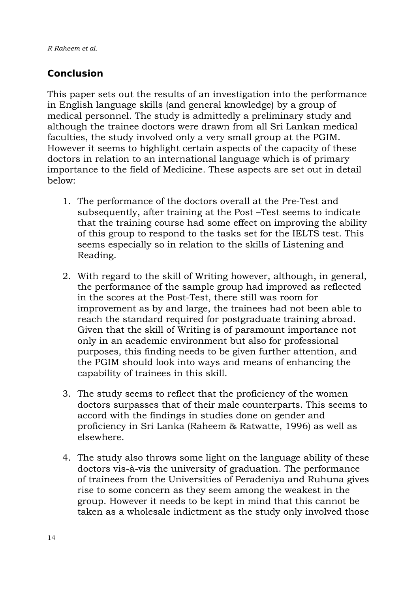*R Raheem et al.* 

### **Conclusion**

This paper sets out the results of an investigation into the performance in English language skills (and general knowledge) by a group of medical personnel. The study is admittedly a preliminary study and although the trainee doctors were drawn from all Sri Lankan medical faculties, the study involved only a very small group at the PGIM. However it seems to highlight certain aspects of the capacity of these doctors in relation to an international language which is of primary importance to the field of Medicine. These aspects are set out in detail below:

- 1. The performance of the doctors overall at the Pre-Test and subsequently, after training at the Post –Test seems to indicate that the training course had some effect on improving the ability of this group to respond to the tasks set for the IELTS test. This seems especially so in relation to the skills of Listening and Reading.
- 2. With regard to the skill of Writing however, although, in general, the performance of the sample group had improved as reflected in the scores at the Post-Test, there still was room for improvement as by and large, the trainees had not been able to reach the standard required for postgraduate training abroad. Given that the skill of Writing is of paramount importance not only in an academic environment but also for professional purposes, this finding needs to be given further attention, and the PGIM should look into ways and means of enhancing the capability of trainees in this skill.
- 3. The study seems to reflect that the proficiency of the women doctors surpasses that of their male counterparts. This seems to accord with the findings in studies done on gender and proficiency in Sri Lanka (Raheem & Ratwatte, 1996) as well as elsewhere.
- 4. The study also throws some light on the language ability of these doctors vis-à-vis the university of graduation. The performance of trainees from the Universities of Peradeniya and Ruhuna gives rise to some concern as they seem among the weakest in the group. However it needs to be kept in mind that this cannot be taken as a wholesale indictment as the study only involved those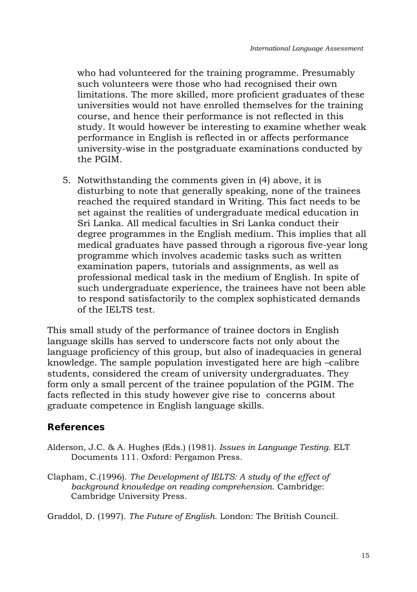who had volunteered for the training programme. Presumably such volunteers were those who had recognised their own limitations. The more skilled, more proficient graduates of these universities would not have enrolled themselves for the training course, and hence their performance is not reflected in this study. It would however be interesting to examine whether weak performance in English is reflected in or affects performance university-wise in the postgraduate examinations conducted by the PGIM.

5. Notwithstanding the comments given in (4) above, it is disturbing to note that generally speaking, none of the trainees reached the required standard in Writing. This fact needs to be set against the realities of undergraduate medical education in Sri Lanka. All medical faculties in Sri Lanka conduct their degree programmes in the English medium. This implies that all medical graduates have passed through a rigorous five-year long programme which involves academic tasks such as written examination papers, tutorials and assignments, as well as professional medical task in the medium of English. In spite of such undergraduate experience, the trainees have not been able to respond satisfactorily to the complex sophisticated demands of the IELTS test.

This small study of the performance of trainee doctors in English language skills has served to underscore facts not only about the language proficiency of this group, but also of inadequacies in general knowledge. The sample population investigated here are high –calibre students, considered the cream of university undergraduates. They form only a small percent of the trainee population of the PGIM. The facts reflected in this study however give rise to concerns about graduate competence in English language skills.

#### **References**

- Alderson, J.C. & A. Hughes (Eds.) (1981). *Issues in Language Testing*. ELT Documents 111. Oxford: Pergamon Press.
- Clapham, C.(1996). *The Development of IELTS: A study of the effect of background knowledge on reading comprehension*. Cambridge: Cambridge University Press.

Graddol, D. (1997). *The Future of English*. London: The British Council.